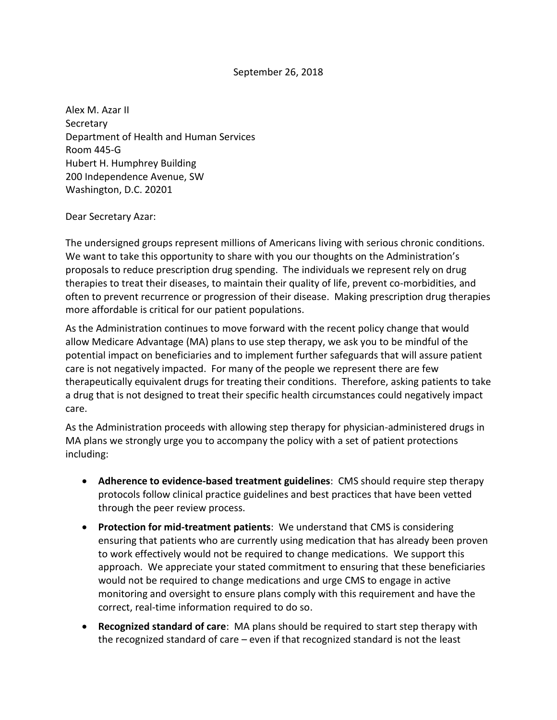## September 26, 2018

Alex M. Azar II Secretary Department of Health and Human Services Room 445-G Hubert H. Humphrey Building 200 Independence Avenue, SW Washington, D.C. 20201

## Dear Secretary Azar:

The undersigned groups represent millions of Americans living with serious chronic conditions. We want to take this opportunity to share with you our thoughts on the Administration's proposals to reduce prescription drug spending. The individuals we represent rely on drug therapies to treat their diseases, to maintain their quality of life, prevent co-morbidities, and often to prevent recurrence or progression of their disease. Making prescription drug therapies more affordable is critical for our patient populations.

As the Administration continues to move forward with the recent policy change that would allow Medicare Advantage (MA) plans to use step therapy, we ask you to be mindful of the potential impact on beneficiaries and to implement further safeguards that will assure patient care is not negatively impacted. For many of the people we represent there are few therapeutically equivalent drugs for treating their conditions. Therefore, asking patients to take a drug that is not designed to treat their specific health circumstances could negatively impact care.

As the Administration proceeds with allowing step therapy for physician-administered drugs in MA plans we strongly urge you to accompany the policy with a set of patient protections including:

- **Adherence to evidence-based treatment guidelines**: CMS should require step therapy protocols follow clinical practice guidelines and best practices that have been vetted through the peer review process.
- **Protection for mid-treatment patients**: We understand that CMS is considering ensuring that patients who are currently using medication that has already been proven to work effectively would not be required to change medications. We support this approach. We appreciate your stated commitment to ensuring that these beneficiaries would not be required to change medications and urge CMS to engage in active monitoring and oversight to ensure plans comply with this requirement and have the correct, real-time information required to do so.
- **Recognized standard of care**: MA plans should be required to start step therapy with the recognized standard of care – even if that recognized standard is not the least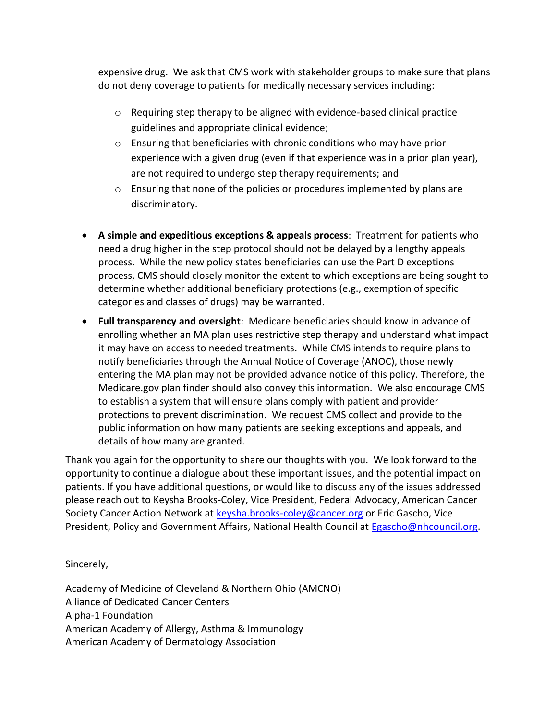expensive drug. We ask that CMS work with stakeholder groups to make sure that plans do not deny coverage to patients for medically necessary services including:

- $\circ$  Requiring step therapy to be aligned with evidence-based clinical practice guidelines and appropriate clinical evidence;
- o Ensuring that beneficiaries with chronic conditions who may have prior experience with a given drug (even if that experience was in a prior plan year), are not required to undergo step therapy requirements; and
- $\circ$  Ensuring that none of the policies or procedures implemented by plans are discriminatory.
- **A simple and expeditious exceptions & appeals process**: Treatment for patients who need a drug higher in the step protocol should not be delayed by a lengthy appeals process. While the new policy states beneficiaries can use the Part D exceptions process, CMS should closely monitor the extent to which exceptions are being sought to determine whether additional beneficiary protections (e.g., exemption of specific categories and classes of drugs) may be warranted.
- **Full transparency and oversight**: Medicare beneficiaries should know in advance of enrolling whether an MA plan uses restrictive step therapy and understand what impact it may have on access to needed treatments. While CMS intends to require plans to notify beneficiaries through the Annual Notice of Coverage (ANOC), those newly entering the MA plan may not be provided advance notice of this policy. Therefore, the Medicare.gov plan finder should also convey this information. We also encourage CMS to establish a system that will ensure plans comply with patient and provider protections to prevent discrimination. We request CMS collect and provide to the public information on how many patients are seeking exceptions and appeals, and details of how many are granted.

Thank you again for the opportunity to share our thoughts with you. We look forward to the opportunity to continue a dialogue about these important issues, and the potential impact on patients. If you have additional questions, or would like to discuss any of the issues addressed please reach out to Keysha Brooks-Coley, Vice President, Federal Advocacy, American Cancer Society Cancer Action Network at [keysha.brooks-coley@cancer.org](mailto:keysha.brooks-coley@cancer.org) or Eric Gascho, Vice President, Policy and Government Affairs, National Health Council at [Egascho@nhcouncil.org.](mailto:Egascho@nhcouncil.org)

Sincerely,

Academy of Medicine of Cleveland & Northern Ohio (AMCNO) Alliance of Dedicated Cancer Centers Alpha-1 Foundation American Academy of Allergy, Asthma & Immunology American Academy of Dermatology Association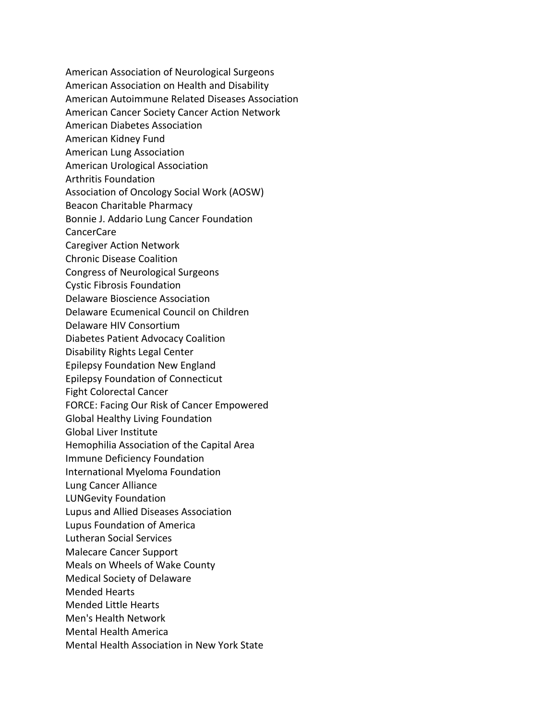American Association of Neurological Surgeons American Association on Health and Disability American Autoimmune Related Diseases Association American Cancer Society Cancer Action Network American Diabetes Association American Kidney Fund American Lung Association American Urological Association Arthritis Foundation Association of Oncology Social Work (AOSW) Beacon Charitable Pharmacy Bonnie J. Addario Lung Cancer Foundation CancerCare Caregiver Action Network Chronic Disease Coalition Congress of Neurological Surgeons Cystic Fibrosis Foundation Delaware Bioscience Association Delaware Ecumenical Council on Children Delaware HIV Consortium Diabetes Patient Advocacy Coalition Disability Rights Legal Center Epilepsy Foundation New England Epilepsy Foundation of Connecticut Fight Colorectal Cancer FORCE: Facing Our Risk of Cancer Empowered Global Healthy Living Foundation Global Liver Institute Hemophilia Association of the Capital Area Immune Deficiency Foundation International Myeloma Foundation Lung Cancer Alliance LUNGevity Foundation Lupus and Allied Diseases Association Lupus Foundation of America Lutheran Social Services Malecare Cancer Support Meals on Wheels of Wake County Medical Society of Delaware Mended Hearts Mended Little Hearts Men's Health Network Mental Health America Mental Health Association in New York State